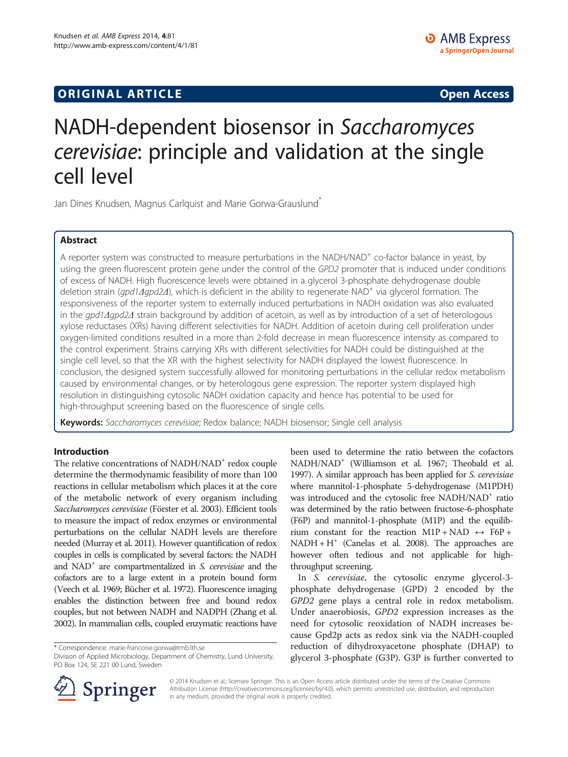# **ORIGINAL ARTICLE CONSUMING A LIGACION CONSUMING A LIGACION CONSUMING A LIGACION**

# NADH-dependent biosensor in Saccharomyces cerevisiae: principle and validation at the single cell level

Jan Dines Knudsen, Magnus Carlquist and Marie Gorwa-Grauslund<sup>®</sup>

# Abstract

A reporter system was constructed to measure perturbations in the NADH/NAD<sup>+</sup> co-factor balance in yeast, by using the green fluorescent protein gene under the control of the GPD2 promoter that is induced under conditions of excess of NADH. High fluorescence levels were obtained in a glycerol 3-phosphate dehydrogenase double deletion strain (*gpd1Δgpd2Δ*), which is deficient in the ability to regenerate NAD<sup>+</sup> via glycerol formation. The responsiveness of the reporter system to externally induced perturbations in NADH oxidation was also evaluated in the gpd1Δgpd2Δ strain background by addition of acetoin, as well as by introduction of a set of heterologous xylose reductases (XRs) having different selectivities for NADH. Addition of acetoin during cell proliferation under oxygen-limited conditions resulted in a more than 2-fold decrease in mean fluorescence intensity as compared to the control experiment. Strains carrying XRs with different selectivities for NADH could be distinguished at the single cell level, so that the XR with the highest selectivity for NADH displayed the lowest fluorescence. In conclusion, the designed system successfully allowed for monitoring perturbations in the cellular redox metabolism caused by environmental changes, or by heterologous gene expression. The reporter system displayed high resolution in distinguishing cytosolic NADH oxidation capacity and hence has potential to be used for high-throughput screening based on the fluorescence of single cells.

Keywords: Saccharomyces cerevisiae; Redox balance; NADH biosensor; Single cell analysis

# Introduction

The relative concentrations of NADH/NAD<sup>+</sup> redox couple determine the thermodynamic feasibility of more than 100 reactions in cellular metabolism which places it at the core of the metabolic network of every organism including Saccharomyces cerevisiae (Förster et al. [2003\)](#page-11-0). Efficient tools to measure the impact of redox enzymes or environmental perturbations on the cellular NADH levels are therefore needed (Murray et al. [2011](#page-11-0)). However quantification of redox couples in cells is complicated by several factors: the NADH and  $NAD^+$  are compartmentalized in S. *cerevisiae* and the cofactors are to a large extent in a protein bound form (Veech et al. [1969;](#page-11-0) Bücher et al. [1972\)](#page-10-0). Fluorescence imaging enables the distinction between free and bound redox couples, but not between NADH and NADPH (Zhang et al. [2002](#page-11-0)). In mammalian cells, coupled enzymatic reactions have



In S. cerevisiae, the cytosolic enzyme glycerol-3 phosphate dehydrogenase (GPD) 2 encoded by the GPD2 gene plays a central role in redox metabolism. Under anaerobiosis, GPD2 expression increases as the need for cytosolic reoxidation of NADH increases because Gpd2p acts as redox sink via the NADH-coupled reduction of dihydroxyacetone phosphate (DHAP) to glycerol 3-phosphate (G3P). G3P is further converted to



© 2014 Knudsen et al.; licensee Springer. This is an Open Access article distributed under the terms of the Creative Commons Attribution License (http://creativecommons.org/licenses/by/4.0), which permits unrestricted use, distribution, and reproduction in any medium, provided the original work is properly credited.

<sup>\*</sup> Correspondence: [marie-francoise.gorwa@tmb.lth.se](mailto:marie-francoise.gorwa@tmb.lth.se)

Division of Applied Microbiology, Department of Chemistry, Lund University, PO Box 124, SE 221 00 Lund, Sweden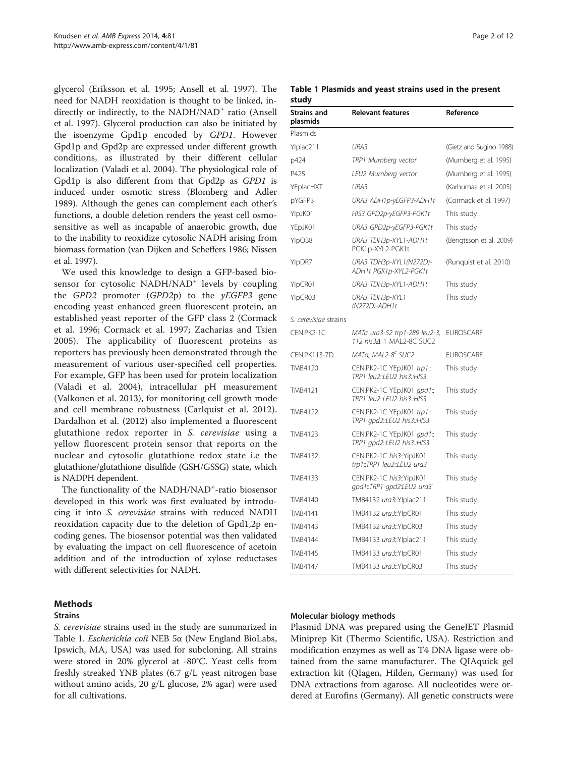<span id="page-1-0"></span>glycerol (Eriksson et al. [1995;](#page-11-0) Ansell et al. [1997](#page-10-0)). The need for NADH reoxidation is thought to be linked, indirectly or indirectly, to the NADH/NAD<sup>+</sup> ratio (Ansell et al. [1997\)](#page-10-0). Glycerol production can also be initiated by the isoenzyme Gpd1p encoded by GPD1. However Gpd1p and Gpd2p are expressed under different growth conditions, as illustrated by their different cellular localization (Valadi et al. [2004](#page-11-0)). The physiological role of Gpd1p is also different from that Gpd2p as GPD1 is induced under osmotic stress (Blomberg and Adler [1989](#page-10-0)). Although the genes can complement each other's functions, a double deletion renders the yeast cell osmosensitive as well as incapable of anaerobic growth, due to the inability to reoxidize cytosolic NADH arising from biomass formation (van Dijken and Scheffers [1986;](#page-11-0) Nissen et al. [1997](#page-11-0)).

We used this knowledge to design a GFP-based biosensor for cytosolic NADH/NAD<sup>+</sup> levels by coupling the  $GPD2$  promoter  $(GPD2p)$  to the  $\gamma E GFP3$  gene encoding yeast enhanced green fluorescent protein, an established yeast reporter of the GFP class 2 (Cormack et al. [1996;](#page-10-0) Cormack et al. [1997](#page-11-0); Zacharias and Tsien [2005\)](#page-11-0). The applicability of fluorescent proteins as reporters has previously been demonstrated through the measurement of various user-specified cell properties. For example, GFP has been used for protein localization (Valadi et al. [2004](#page-11-0)), intracellular pH measurement (Valkonen et al. [2013](#page-11-0)), for monitoring cell growth mode and cell membrane robustness (Carlquist et al. [2012](#page-10-0)). Dardalhon et al. ([2012\)](#page-11-0) also implemented a fluorescent glutathione redox reporter in S. cerevisiae using a yellow fluorescent protein sensor that reports on the nuclear and cytosolic glutathione redox state i.e the glutathione/glutathione disulfide (GSH/GSSG) state, which is NADPH dependent.

The functionality of the NADH/NAD<sup>+</sup>-ratio biosensor developed in this work was first evaluated by introducing it into S. cerevisiae strains with reduced NADH reoxidation capacity due to the deletion of Gpd1,2p encoding genes. The biosensor potential was then validated by evaluating the impact on cell fluorescence of acetoin addition and of the introduction of xylose reductases with different selectivities for NADH.

# **Methods**

#### **Strains**

S. cerevisiae strains used in the study are summarized in Table 1. Escherichia coli NEB 5α (New England BioLabs, Ipswich, MA, USA) was used for subcloning. All strains were stored in 20% glycerol at -80°C. Yeast cells from freshly streaked YNB plates (6.7 g/L yeast nitrogen base without amino acids, 20 g/L glucose, 2% agar) were used for all cultivations.

Table 1 Plasmids and yeast strains used in the present study

| <b>Strains and</b><br>plasmids | <b>Relevant features</b>                                  | Reference               |
|--------------------------------|-----------------------------------------------------------|-------------------------|
| Plasmids                       |                                                           |                         |
| Ylplac211                      | URA3                                                      | (Gietz and Sugino 1988) |
| p424                           | TRP1 Mumberg vector                                       | (Mumberg et al. 1995)   |
| P425                           | LEU2 Mumberg vector                                       | (Mumberg et al. 1995)   |
| YEplacHXT                      | URA3                                                      | (Karhumaa et al. 2005)  |
| pYGFP3                         | URA3 ADH1p-yEGFP3-ADH1t                                   | (Cormack et al. 1997)   |
| YlpJK01                        | HIS3 GPD2p-yEGFP3-PGK1t                                   | This study              |
| YEpJK01                        | URA3 GPD2p-yEGFP3-PGK1t                                   | This study              |
| YIpOB8                         | URA3 TDH3p-XYL1-ADH1t<br>PGK1p-XYL2-PGK1t                 | (Bengtsson et al. 2009) |
| YIpDR7                         | URA3 TDH3p-XYL1(N272D)-<br>ADH1t PGK1p-XYL2-PGK1t         | (Runquist et al. 2010)  |
| YIpCR01                        | URA3 TDH3p-XYL1-ADH1t                                     | This study              |
| YIpCR03                        | URA3 TDH3p-XYL1<br>(N272D)-ADH1t                          | This study              |
| S. cerevisiae strains          |                                                           |                         |
| CEN.PK2-1C                     | MATa ura3-52 trp1-289 leu2-3,<br>112 his34 1 MAL2-8C SUC2 | <b>EUROSCARF</b>        |
| CEN.PK113-7D                   | MATa, MAL2-8 <sup>c</sup> SUC2                            | <b>EUROSCARF</b>        |
| TMB4120                        | CEN.PK2-1C YEpJK01 trp1::<br>TRP1_leu2::LEU2_his3::HIS3   | This study              |
| TMB4121                        | CEN.PK2-1C YEpJK01 gpd1::<br>TRP1_leu2::LEU2_his3::HIS3   | This study              |
| TMB4122                        | CEN.PK2-1C YEpJK01 trp1::<br>TRP1 gpd2::LEU2 his3::HIS3   | This study              |
| TMB4123                        | CEN.PK2-1C YEpJK01 gpd1::<br>TRP1 gpd2::LEU2 his3::HIS3   | This study              |
| TMB4132                        | CEN.PK2-1C his3::YipJK01<br>trp1::TRP1 leu2::LEU2 ura3"   | This study              |
| TMB4133                        | CEN.PK2-1C his3::YipJK01<br>gpd1::TRP1 gpd2:LEU2 ura3     | This study              |
| TMB4140                        | TMB4132 ura3::Ylplac211                                   | This study              |
| TMB4141                        | TMB4132 ura3::YIpCR01                                     | This study              |
| TMB4143                        | TMB4132 ura3::YIpCR03                                     | This study              |
| TMB4144                        | TMB4133 ura3::Ylplac211                                   | This study              |
| TMB4145                        | TMB4133 ura3::YIpCR01                                     | This study              |
| TMB4147                        | TMB4133 ura3::YIpCR03                                     | This study              |

#### Molecular biology methods

Plasmid DNA was prepared using the GeneJET Plasmid Miniprep Kit (Thermo Scientific, USA). Restriction and modification enzymes as well as T4 DNA ligase were obtained from the same manufacturer. The QIAquick gel extraction kit (QIagen, Hilden, Germany) was used for DNA extractions from agarose. All nucleotides were ordered at Eurofins (Germany). All genetic constructs were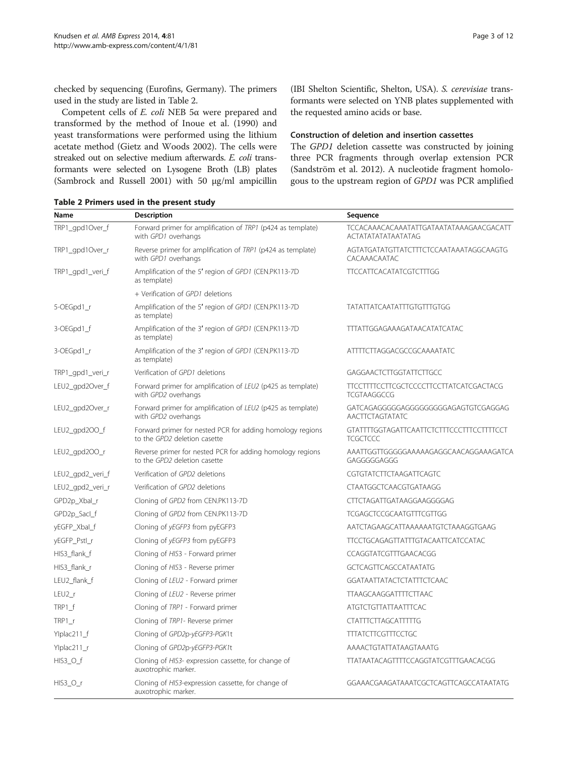checked by sequencing (Eurofins, Germany). The primers used in the study are listed in Table 2.

Competent cells of E. coli NEB 5α were prepared and transformed by the method of Inoue et al. [\(1990\)](#page-11-0) and yeast transformations were performed using the lithium acetate method (Gietz and Woods [2002\)](#page-11-0). The cells were streaked out on selective medium afterwards. E. coli transformants were selected on Lysogene Broth (LB) plates (Sambrock and Russell [2001\)](#page-11-0) with 50 μg/ml ampicillin

(IBI Shelton Scientific, Shelton, USA). S. cerevisiae transformants were selected on YNB plates supplemented with the requested amino acids or base.

#### Construction of deletion and insertion cassettes

The GPD1 deletion cassette was constructed by joining three PCR fragments through overlap extension PCR (Sandström et al. [2012](#page-11-0)). A nucleotide fragment homologous to the upstream region of GPD1 was PCR amplified

| Name                | <b>Description</b>                                                                        | Sequence                                                      |
|---------------------|-------------------------------------------------------------------------------------------|---------------------------------------------------------------|
| TRP1_gpd1Over_f     | Forward primer for amplification of TRP1 (p424 as template)<br>with GPD1 overhangs        | TCCACAAACACAAATATTGATAATATAAAGAACGACATT<br>ACTATATATATAATATAG |
| TRP1_gpd1Over_r     | Reverse primer for amplification of TRP1 (p424 as template)<br>with GPD1 overhangs        | AGTATGATATGTTATCTTTCTCCAATAAATAGGCAAGTG<br>CACAAACAATAC       |
| TRP1_gpd1_veri_f    | Amplification of the 5' region of GPD1 (CEN.PK113-7D)<br>as template)                     | <b>TTCCATTCACATATCGTCTTTGG</b>                                |
|                     | + Verification of GPD1 deletions                                                          |                                                               |
| 5-OEGpd1_r          | Amplification of the 5' region of GPD1 (CEN.PK113-7D<br>as template)                      | <b>TATATTATCAATATTTGTGTTTGTGG</b>                             |
| 3-OEGpd1_f          | Amplification of the 3' region of GPD1 (CEN.PK113-7D<br>as template)                      | TTTATTGGAGAAAGATAACATATCATAC                                  |
| 3-OEGpd1_r          | Amplification of the 3' region of GPD1 (CEN.PK113-7D)<br>as template)                     | ATTTTCTTAGGACGCCGCAAAATATC                                    |
| TRP1_gpd1_veri_r    | Verification of GPD1 deletions                                                            | GAGGAACTCTTGGTATTCTTGCC                                       |
| LEU2_gpd2Over_f     | Forward primer for amplification of LEU2 (p425 as template)<br>with GPD2 overhangs        | TTCCTTTTCCTTCGCTCCCCTTCCTTATCATCGACTACG<br><b>TCGTAAGGCCG</b> |
| LEU2_gpd2Over_r     | Forward primer for amplification of LEU2 (p425 as template)<br>with GPD2 overhangs        | GATCAGAGGGGGAGGGGGGGGGAGAGTGTCGAGGAG<br>AACTTCTAGTATATC       |
| LEU2_gpd2OO_f       | Forward primer for nested PCR for adding homology regions<br>to the GPD2 deletion casette | GTATTTTGGTAGATTCAATTCTCTTTCCCTTTCCTTTTCCT<br><b>TCGCTCCC</b>  |
| $LEU2$ _gpd $2OO_r$ | Reverse primer for nested PCR for adding homology regions<br>to the GPD2 deletion casette | AAATTGGTTGGGGGAAAAAGAGGCAACAGGAAAGATCA<br>GAGGGGGAGGG         |
| LEU2_gpd2_veri_f    | Verification of GPD2 deletions                                                            | CGTGTATCTTCTAAGATTCAGTC                                       |
| LEU2_gpd2_veri_r    | Verification of GPD2 deletions                                                            | CTAATGGCTCAACGTGATAAGG                                        |
| GPD2p_Xbal_r        | Cloning of GPD2 from CEN.PK113-7D                                                         | CTTCTAGATTGATAAGGAAGGGGAG                                     |
| GPD2p_Sacl_f        | Cloning of GPD2 from CEN.PK113-7D                                                         | <b>TCGAGCTCCGCAATGTTTCGTTGG</b>                               |
| yEGFP_Xbal_f        | Cloning of yEGFP3 from pyEGFP3                                                            | AATCTAGAAGCATTAAAAAATGTCTAAAGGTGAAG                           |
| yEGFP_Pstl_r        | Cloning of yEGFP3 from pyEGFP3                                                            | <b>TTCCTGCAGAGTTATTTGTACAATTCATCCATAC</b>                     |
| HIS3_flank_f        | Cloning of HIS3 - Forward primer                                                          | CCAGGTATCGTTTGAACACGG                                         |
| HIS3_flank_r        | Cloning of HIS3 - Reverse primer                                                          | <b>GCTCAGTTCAGCCATAATATG</b>                                  |
| LEU2_flank_f        | Cloning of LEU2 - Forward primer                                                          | <b>GGATAATTATACTCTATTTCTCAAC</b>                              |
| $LEU21$ r           | Cloning of LEU2 - Reverse primer                                                          | <b>TTAAGCAAGGATTTTCTTAAC</b>                                  |
| TRP1_f              | Cloning of TRP1 - Forward primer                                                          | ATGTCTGTTATTAATTTCAC                                          |
| $TRP1_r$            | Cloning of TRP1- Reverse primer                                                           | <b>CTATTTCTTAGCATTTTTG</b>                                    |
| Ylplac211_f         | Cloning of GPD2p-yEGFP3-PGK1t                                                             | <b>TTTATCTTCGTTTCCTGC</b>                                     |
| Ylplac211_r         | Cloning of GPD2p-yEGFP3-PGK1t                                                             | AAAACTGTATTATAAGTAAATG                                        |
| $HIS3_O_f$          | Cloning of HIS3- expression cassette, for change of<br>auxotrophic marker.                | TTATAATACAGTTTTCCAGGTATCGTTTGAACACGG                          |
| HIS3_O_r            | Cloning of HIS3-expression cassette, for change of<br>auxotrophic marker.                 | GGAAACGAAGATAAATCGCTCAGTTCAGCCATAATATG                        |

Table 2 Primers used in the present study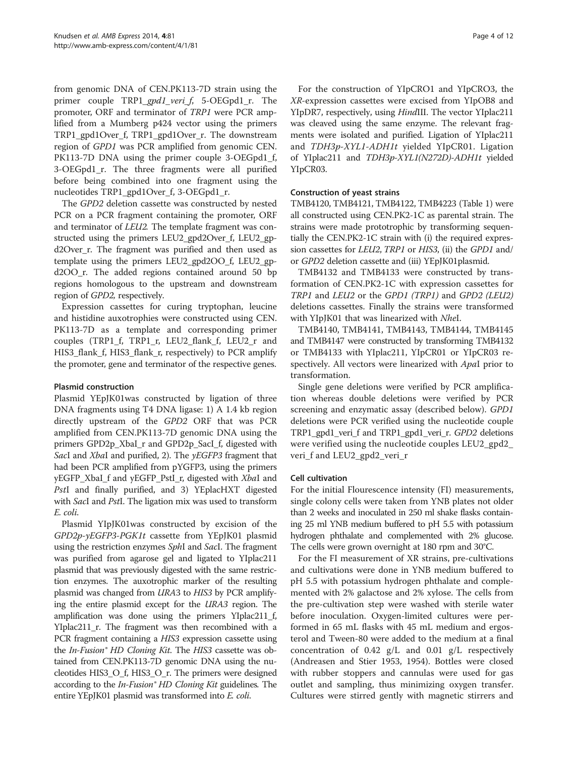from genomic DNA of CEN.PK113-7D strain using the primer couple TRP1\_gpd1\_veri\_f, 5-OEGpd1\_r. The promoter, ORF and terminator of TRP1 were PCR amplified from a Mumberg p424 vector using the primers TRP1\_gpd1Over\_f, TRP1\_gpd1Over\_r. The downstream region of GPD1 was PCR amplified from genomic CEN. PK113-7D DNA using the primer couple 3-OEGpd1\_f, 3-OEGpd1\_r. The three fragments were all purified before being combined into one fragment using the nucleotides TRP1\_gpd1Over\_f, 3-OEGpd1\_r.

The GPD2 deletion cassette was constructed by nested PCR on a PCR fragment containing the promoter, ORF and terminator of LEU2. The template fragment was constructed using the primers LEU2\_gpd2Over\_f, LEU2\_gpd2Over\_r. The fragment was purified and then used as template using the primers LEU2\_gpd2OO\_f, LEU2\_gpd2OO\_r. The added regions contained around 50 bp regions homologous to the upstream and downstream region of GPD2, respectively.

Expression cassettes for curing tryptophan, leucine and histidine auxotrophies were constructed using CEN. PK113-7D as a template and corresponding primer couples (TRP1\_f, TRP1\_r, LEU2\_flank\_f, LEU2\_r and HIS3\_flank\_f, HIS3\_flank\_r, respectively) to PCR amplify the promoter, gene and terminator of the respective genes.

# Plasmid construction

Plasmid YEpJK01was constructed by ligation of three DNA fragments using T4 DNA ligase: 1) A 1.4 kb region directly upstream of the GPD2 ORF that was PCR amplified from CEN.PK113-7D genomic DNA using the primers GPD2p\_XbaI\_r and GPD2p\_SacI\_f, digested with SacI and XbaI and purified, 2). The yEGFP3 fragment that had been PCR amplified from pYGFP3, using the primers yEGFP\_XbaI\_f and yEGFP\_PstI\_r, digested with XbaI and PstI and finally purified, and 3) YEplacHXT digested with *SacI* and *PstI*. The ligation mix was used to transform E. coli.

Plasmid YIpJK01was constructed by excision of the GPD2p-yEGFP3-PGK1t cassette from YEpJK01 plasmid using the restriction enzymes SphI and SacI. The fragment was purified from agarose gel and ligated to YIplac211 plasmid that was previously digested with the same restriction enzymes. The auxotrophic marker of the resulting plasmid was changed from URA3 to HIS3 by PCR amplifying the entire plasmid except for the URA3 region. The amplification was done using the primers YIplac211\_f, YIplac211\_r. The fragment was then recombined with a PCR fragment containing a HIS3 expression cassette using the In-Fusion<sup>®</sup> HD Cloning Kit. The HIS3 cassette was obtained from CEN.PK113-7D genomic DNA using the nucleotides HIS3\_O\_f, HIS3\_O\_r. The primers were designed according to the *In-Fusion*® HD Cloning Kit guidelines. The entire YEpJK01 plasmid was transformed into E. coli.

For the construction of YIpCRO1 and YIpCRO3, the XR-expression cassettes were excised from YIpOB8 and YIpDR7, respectively, using HindIII. The vector YIplac211 was cleaved using the same enzyme. The relevant fragments were isolated and purified. Ligation of YIplac211 and TDH3p-XYL1-ADH1t yielded YIpCR01. Ligation of YIplac211 and TDH3p-XYL1(N272D)-ADH1t yielded YIpCR03.

# Construction of yeast strains

TMB4120, TMB4121, TMB4122, TMB4223 (Table [1\)](#page-1-0) were all constructed using CEN.PK2-1C as parental strain. The strains were made prototrophic by transforming sequentially the CEN.PK2-1C strain with (i) the required expression cassettes for *LEU2*, *TRP1* or *HIS3*, (ii) the *GPD1* and/ or GPD2 deletion cassette and (iii) YEpJK01plasmid.

TMB4132 and TMB4133 were constructed by transformation of CEN.PK2-1C with expression cassettes for TRP1 and LEU2 or the GPD1 (TRP1) and GPD2 (LEU2) deletions cassettes. Finally the strains were transformed with YIpJK01 that was linearized with NheI.

TMB4140, TMB4141, TMB4143, TMB4144, TMB4145 and TMB4147 were constructed by transforming TMB4132 or TMB4133 with YIplac211, YIpCR01 or YIpCR03 respectively. All vectors were linearized with ApaI prior to transformation.

Single gene deletions were verified by PCR amplification whereas double deletions were verified by PCR screening and enzymatic assay (described below). GPD1 deletions were PCR verified using the nucleotide couple TRP1\_gpd1\_veri\_f and TRP1\_gpd1\_veri\_r. GPD2 deletions were verified using the nucleotide couples LEU2\_gpd2\_ veri\_f and LEU2\_gpd2\_veri\_r

# Cell cultivation

For the initial Flourescence intensity (FI) measurements, single colony cells were taken from YNB plates not older than 2 weeks and inoculated in 250 ml shake flasks containing 25 ml YNB medium buffered to pH 5.5 with potassium hydrogen phthalate and complemented with 2% glucose. The cells were grown overnight at 180 rpm and 30°C.

For the FI measurement of XR strains, pre-cultivations and cultivations were done in YNB medium buffered to pH 5.5 with potassium hydrogen phthalate and complemented with 2% galactose and 2% xylose. The cells from the pre-cultivation step were washed with sterile water before inoculation. Oxygen-limited cultures were performed in 65 mL flasks with 45 mL medium and ergosterol and Tween-80 were added to the medium at a final concentration of 0.42 g/L and 0.01 g/L respectively (Andreasen and Stier [1953](#page-10-0), [1954\)](#page-10-0). Bottles were closed with rubber stoppers and cannulas were used for gas outlet and sampling, thus minimizing oxygen transfer. Cultures were stirred gently with magnetic stirrers and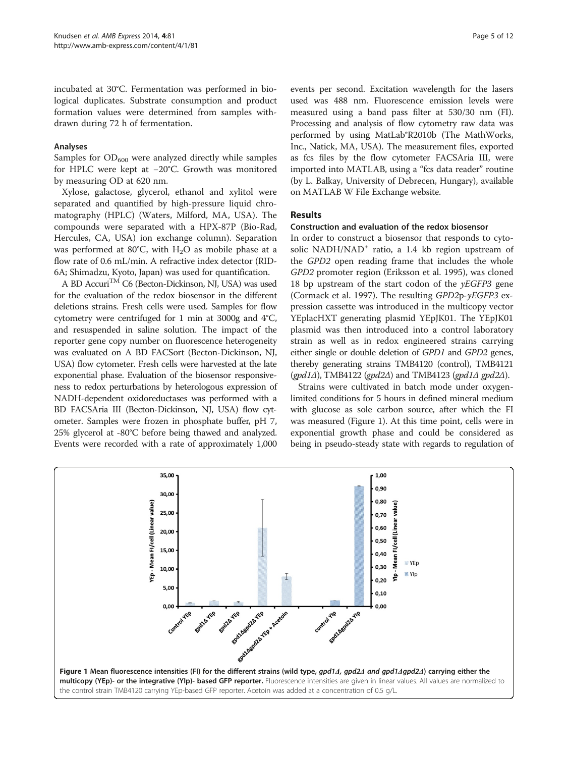<span id="page-4-0"></span>incubated at 30°C. Fermentation was performed in biological duplicates. Substrate consumption and product formation values were determined from samples withdrawn during 72 h of fermentation.

#### Analyses

Samples for  $OD_{600}$  were analyzed directly while samples for HPLC were kept at −20°C. Growth was monitored by measuring OD at 620 nm.

Xylose, galactose, glycerol, ethanol and xylitol were separated and quantified by high-pressure liquid chromatography (HPLC) (Waters, Milford, MA, USA). The compounds were separated with a HPX-87P (Bio-Rad, Hercules, CA, USA) ion exchange column). Separation was performed at 80 $^{\circ}$ C, with H<sub>2</sub>O as mobile phase at a flow rate of 0.6 mL/min. A refractive index detector (RID-6A; Shimadzu, Kyoto, Japan) was used for quantification.

A BD Accuri<sup>TM</sup> C6 (Becton-Dickinson, NJ, USA) was used for the evaluation of the redox biosensor in the different deletions strains. Fresh cells were used. Samples for flow cytometry were centrifuged for 1 min at 3000g and 4°C, and resuspended in saline solution. The impact of the reporter gene copy number on fluorescence heterogeneity was evaluated on A BD FACSort (Becton-Dickinson, NJ, USA) flow cytometer. Fresh cells were harvested at the late exponential phase. Evaluation of the biosensor responsiveness to redox perturbations by heterologous expression of NADH-dependent oxidoreductases was performed with a BD FACSAria III (Becton-Dickinson, NJ, USA) flow cytometer. Samples were frozen in phosphate buffer, pH 7, 25% glycerol at -80°C before being thawed and analyzed. Events were recorded with a rate of approximately 1,000

events per second. Excitation wavelength for the lasers used was 488 nm. Fluorescence emission levels were measured using a band pass filter at 530/30 nm (FI). Processing and analysis of flow cytometry raw data was performed by using MatLab®R2010b (The MathWorks, Inc., Natick, MA, USA). The measurement files, exported as fcs files by the flow cytometer FACSAria III, were imported into MATLAB, using a "fcs data reader" routine (by L. Balkay, University of Debrecen, Hungary), available on MATLAB W File Exchange website.

# Results

#### Construction and evaluation of the redox biosensor

In order to construct a biosensor that responds to cytosolic NADH/NAD<sup>+</sup> ratio, a 1.4 kb region upstream of the GPD2 open reading frame that includes the whole GPD2 promoter region (Eriksson et al. [1995](#page-11-0)), was cloned 18 bp upstream of the start codon of the  $yEGFP3$  gene (Cormack et al. [1997\)](#page-11-0). The resulting GPD2p-yEGFP3 expression cassette was introduced in the multicopy vector YEplacHXT generating plasmid YEpJK01. The YEpJK01 plasmid was then introduced into a control laboratory strain as well as in redox engineered strains carrying either single or double deletion of GPD1 and GPD2 genes, thereby generating strains TMB4120 (control), TMB4121  $(gpd1\Delta)$ , TMB4122  $(gpd2\Delta)$  and TMB4123  $(gpd1\Delta)$  gpd2 $\Delta$ ).

Strains were cultivated in batch mode under oxygenlimited conditions for 5 hours in defined mineral medium with glucose as sole carbon source, after which the FI was measured (Figure 1). At this time point, cells were in exponential growth phase and could be considered as being in pseudo-steady state with regards to regulation of

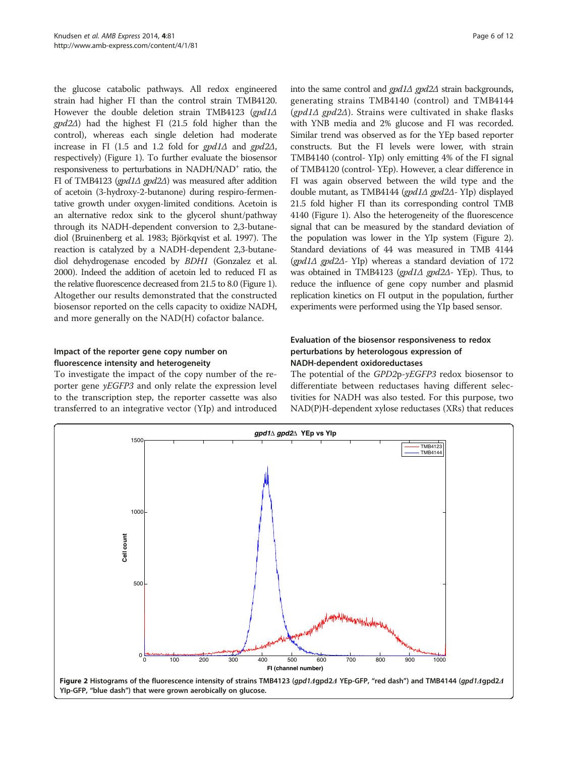the glucose catabolic pathways. All redox engineered strain had higher FI than the control strain TMB4120. However the double deletion strain TMB4123 (gpd1∆ gpd2Δ) had the highest FI (21.5 fold higher than the control), whereas each single deletion had moderate increase in FI (1.5 and 1.2 fold for  $\text{gpd1}\Delta$  and  $\text{gpd2}\Delta$ , respectively) (Figure [1](#page-4-0)). To further evaluate the biosensor responsiveness to perturbations in  $NADH/NAD<sup>+</sup>$  ratio, the FI of TMB4123 (gpd1Δ gpd2Δ) was measured after addition of acetoin (3-hydroxy-2-butanone) during respiro-fermentative growth under oxygen-limited conditions. Acetoin is an alternative redox sink to the glycerol shunt/pathway through its NADH-dependent conversion to 2,3-butanediol (Bruinenberg et al. [1983](#page-10-0); Björkqvist et al. [1997\)](#page-10-0). The reaction is catalyzed by a NADH-dependent 2,3-butanediol dehydrogenase encoded by BDH1 (Gonzalez et al. [2000\)](#page-11-0). Indeed the addition of acetoin led to reduced FI as the relative fluorescence decreased from 21.5 to 8.0 (Figure [1\)](#page-4-0). Altogether our results demonstrated that the constructed biosensor reported on the cells capacity to oxidize NADH, and more generally on the NAD(H) cofactor balance.

# Impact of the reporter gene copy number on fluorescence intensity and heterogeneity

To investigate the impact of the copy number of the reporter gene yEGFP3 and only relate the expression level to the transcription step, the reporter cassette was also transferred to an integrative vector (YIp) and introduced

into the same control and  $gpd1\Delta gpd2\Delta$  strain backgrounds, generating strains TMB4140 (control) and TMB4144 (gpd1 $\triangle$  gpd2 $\triangle$ ). Strains were cultivated in shake flasks with YNB media and 2% glucose and FI was recorded. Similar trend was observed as for the YEp based reporter constructs. But the FI levels were lower, with strain TMB4140 (control- YIp) only emitting 4% of the FI signal of TMB4120 (control- YEp). However, a clear difference in FI was again observed between the wild type and the double mutant, as TMB4144 (gpd1Δ gpd2Δ- YIp) displayed 21.5 fold higher FI than its corresponding control TMB 4140 (Figure [1\)](#page-4-0). Also the heterogeneity of the fluorescence signal that can be measured by the standard deviation of the population was lower in the YIp system (Figure 2). Standard deviations of 44 was measured in TMB 4144 (gpd1Δ gpd2Δ- YIp) whereas a standard deviation of 172 was obtained in TMB4123 (gpd1Δ gpd2Δ- YEp). Thus, to reduce the influence of gene copy number and plasmid replication kinetics on FI output in the population, further experiments were performed using the YIp based sensor.

# Evaluation of the biosensor responsiveness to redox perturbations by heterologous expression of NADH-dependent oxidoreductases

The potential of the GPD2p-yEGFP3 redox biosensor to differentiate between reductases having different selectivities for NADH was also tested. For this purpose, two NAD(P)H-dependent xylose reductases (XRs) that reduces

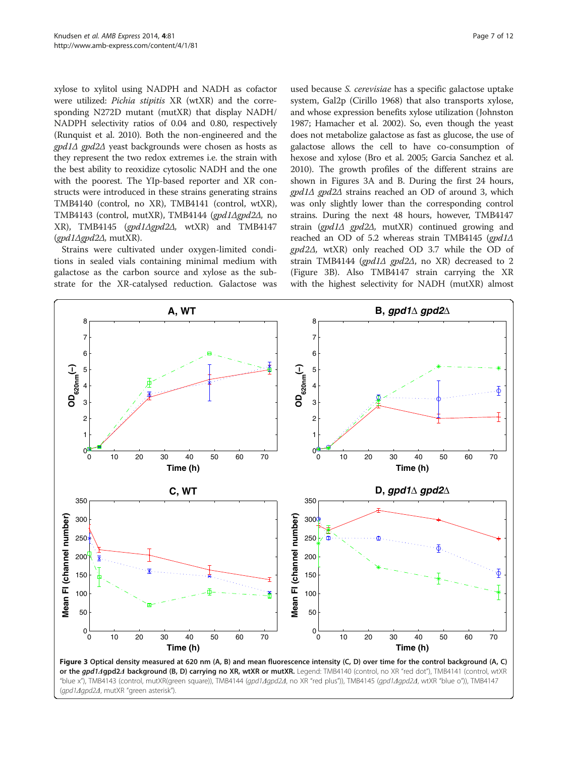<span id="page-6-0"></span>xylose to xylitol using NADPH and NADH as cofactor were utilized: Pichia stipitis XR (wtXR) and the corresponding N272D mutant (mutXR) that display NADH/ NADPH selectivity ratios of 0.04 and 0.80, respectively (Runquist et al. [2010](#page-11-0)). Both the non-engineered and the gpd1Δ gpd2Δ yeast backgrounds were chosen as hosts as they represent the two redox extremes i.e. the strain with the best ability to reoxidize cytosolic NADH and the one with the poorest. The YIp-based reporter and XR constructs were introduced in these strains generating strains TMB4140 (control, no XR), TMB4141 (control, wtXR), TMB4143 (control, mutXR), TMB4144 (gpd1Δgpd2Δ, no XR), TMB4145 (gpd1Δgpd2Δ, wtXR) and TMB4147  $(gpd1\Delta gpd2\Delta, \text{mutXR}).$ 

Strains were cultivated under oxygen-limited conditions in sealed vials containing minimal medium with galactose as the carbon source and xylose as the substrate for the XR-catalysed reduction. Galactose was

used because S. cerevisiae has a specific galactose uptake system, Gal2p (Cirillo [1968](#page-10-0)) that also transports xylose, and whose expression benefits xylose utilization (Johnston [1987](#page-11-0); Hamacher et al. [2002](#page-11-0)). So, even though the yeast does not metabolize galactose as fast as glucose, the use of galactose allows the cell to have co-consumption of hexose and xylose (Bro et al. [2005;](#page-10-0) Garcia Sanchez et al. [2010](#page-11-0)). The growth profiles of the different strains are shown in Figures 3A and B. During the first 24 hours, gpd1Δ gpd2Δ strains reached an OD of around 3, which was only slightly lower than the corresponding control strains. During the next 48 hours, however, TMB4147 strain (gpd1 $\Delta$  gpd2 $\Delta$ , mutXR) continued growing and reached an OD of 5.2 whereas strain TMB4145 (gpd1Δ gpd2Δ, wtXR) only reached OD 3.7 while the OD of strain TMB4144 (gpd1Δ gpd2Δ, no XR) decreased to 2 (Figure 3B). Also TMB4147 strain carrying the XR with the highest selectivity for NADH (mutXR) almost

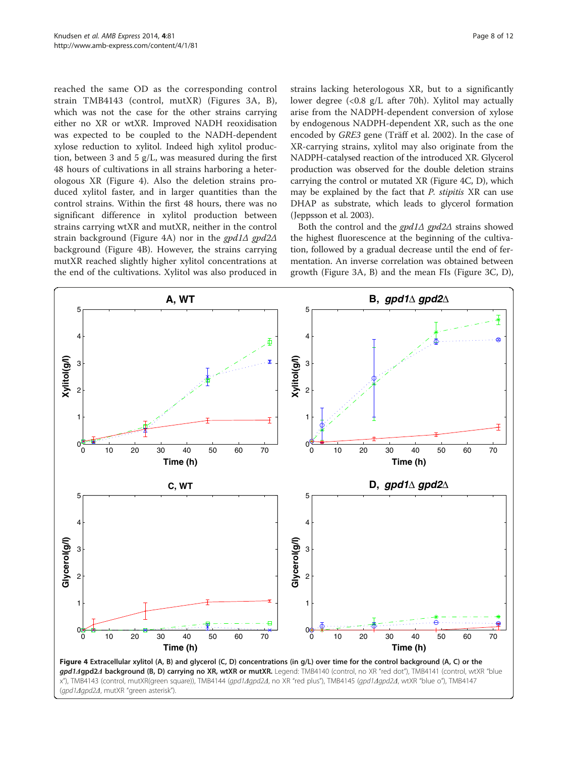reached the same OD as the corresponding control strain TMB4143 (control, mutXR) (Figures [3](#page-6-0)A, B), which was not the case for the other strains carrying either no XR or wtXR. Improved NADH reoxidisation was expected to be coupled to the NADH-dependent xylose reduction to xylitol. Indeed high xylitol production, between 3 and 5 g/L, was measured during the first 48 hours of cultivations in all strains harboring a heterologous XR (Figure 4). Also the deletion strains produced xylitol faster, and in larger quantities than the control strains. Within the first 48 hours, there was no significant difference in xylitol production between strains carrying wtXR and mutXR, neither in the control strain background (Figure 4A) nor in the gpd1Δ gpd2Δ background (Figure 4B). However, the strains carrying mutXR reached slightly higher xylitol concentrations at the end of the cultivations. Xylitol was also produced in

strains lacking heterologous XR, but to a significantly lower degree (<0.8 g/L after 70h). Xylitol may actually arise from the NADPH-dependent conversion of xylose by endogenous NADPH-dependent XR, such as the one encoded by GRE3 gene (Träff et al. [2002\)](#page-11-0). In the case of XR-carrying strains, xylitol may also originate from the NADPH-catalysed reaction of the introduced XR. Glycerol production was observed for the double deletion strains carrying the control or mutated XR (Figure 4C, D), which may be explained by the fact that P. stipitis XR can use DHAP as substrate, which leads to glycerol formation (Jeppsson et al. [2003\)](#page-11-0).

Both the control and the  $\varrho \varrho d1\Delta$  gpd2 $\Delta$  strains showed the highest fluorescence at the beginning of the cultivation, followed by a gradual decrease until the end of fermentation. An inverse correlation was obtained between growth (Figure [3](#page-6-0)A, B) and the mean FIs (Figure [3C](#page-6-0), D),

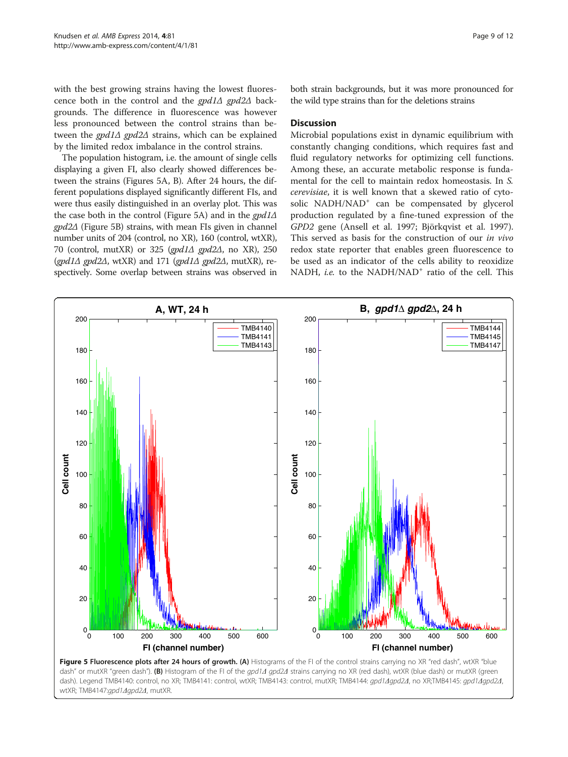with the best growing strains having the lowest fluorescence both in the control and the gpd1Δ gpd2Δ backgrounds. The difference in fluorescence was however less pronounced between the control strains than between the  $\text{gpd1}\Delta$  gpd2 $\Delta$  strains, which can be explained by the limited redox imbalance in the control strains.

The population histogram, i.e. the amount of single cells displaying a given FI, also clearly showed differences between the strains (Figures 5A, B). After 24 hours, the different populations displayed significantly different FIs, and were thus easily distinguished in an overlay plot. This was the case both in the control (Figure 5A) and in the  $\frac{gpd1}{\Delta}$ gpd2Δ (Figure 5B) strains, with mean FIs given in channel number units of 204 (control, no XR), 160 (control, wtXR), 70 (control, mutXR) or 325 (gpd1 $\Delta$  gpd2 $\Delta$ , no XR), 250 (gpd1 $\triangle$  gpd2 $\triangle$ , wtXR) and 171 (gpd1 $\triangle$  gpd2 $\triangle$ , mutXR), respectively. Some overlap between strains was observed in both strain backgrounds, but it was more pronounced for the wild type strains than for the deletions strains

# **Discussion**

Microbial populations exist in dynamic equilibrium with constantly changing conditions, which requires fast and fluid regulatory networks for optimizing cell functions. Among these, an accurate metabolic response is fundamental for the cell to maintain redox homeostasis. In S. cerevisiae, it is well known that a skewed ratio of cytosolic NADH/NAD<sup>+</sup> can be compensated by glycerol production regulated by a fine-tuned expression of the GPD2 gene (Ansell et al. [1997;](#page-10-0) Björkqvist et al. [1997](#page-10-0)). This served as basis for the construction of our in vivo redox state reporter that enables green fluorescence to be used as an indicator of the cells ability to reoxidize NADH, i.e. to the NADH/NAD<sup>+</sup> ratio of the cell. This



dash" or mutXR "green dash"). (B) Histogram of the FI of the *qpd1Δ gpd2Δ* strains carrying no XR (red dash), wtXR (blue dash) or mutXR (green dash). Legend TMB4140: control, no XR; TMB4141: control, wtXR; TMB4143: control, mutXR; TMB4144: gpd1Δgpd2Δ, no XR;TMB4145: gpd1Δgpd2Δ, wtXR; TMB4147:gpd1Δgpd2Δ, mutXR.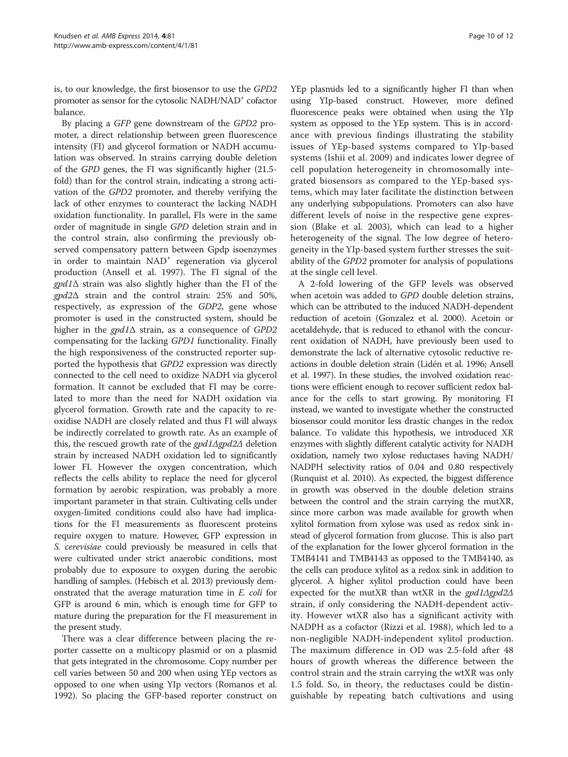is, to our knowledge, the first biosensor to use the GPD2 promoter as sensor for the cytosolic NADH/NAD<sup>+</sup> cofactor balance.

By placing a GFP gene downstream of the GPD2 promoter, a direct relationship between green fluorescence intensity (FI) and glycerol formation or NADH accumulation was observed. In strains carrying double deletion of the GPD genes, the FI was significantly higher (21.5 fold) than for the control strain, indicating a strong activation of the GPD2 promoter, and thereby verifying the lack of other enzymes to counteract the lacking NADH oxidation functionality. In parallel, FIs were in the same order of magnitude in single GPD deletion strain and in the control strain, also confirming the previously observed compensatory pattern between Gpdp isoenzymes in order to maintain NAD<sup>+</sup> regeneration via glycerol production (Ansell et al. [1997\)](#page-10-0). The FI signal of the  $\gamma$ gpd1 $\Delta$  strain was also slightly higher than the FI of the gpd2Δ strain and the control strain: 25% and 50%, respectively, as expression of the GDP2, gene whose promoter is used in the constructed system, should be higher in the  $\text{gpd1}\Delta$  strain, as a consequence of GPD2 compensating for the lacking GPD1 functionality. Finally the high responsiveness of the constructed reporter supported the hypothesis that GPD2 expression was directly connected to the cell need to oxidize NADH via glycerol formation. It cannot be excluded that FI may be correlated to more than the need for NADH oxidation via glycerol formation. Growth rate and the capacity to reoxidise NADH are closely related and thus FI will always be indirectly correlated to growth rate. As an example of this, the rescued growth rate of the gpd1Δgpd2Δ deletion strain by increased NADH oxidation led to significantly lower FI. However the oxygen concentration, which reflects the cells ability to replace the need for glycerol formation by aerobic respiration, was probably a more important parameter in that strain. Cultivating cells under oxygen-limited conditions could also have had implications for the FI measurements as fluorescent proteins require oxygen to mature. However, GFP expression in S. cerevisiae could previously be measured in cells that were cultivated under strict anaerobic conditions, most probably due to exposure to oxygen during the aerobic handling of samples. (Hebisch et al. [2013](#page-11-0)) previously demonstrated that the average maturation time in E. coli for GFP is around 6 min, which is enough time for GFP to mature during the preparation for the FI measurement in the present study.

There was a clear difference between placing the reporter cassette on a multicopy plasmid or on a plasmid that gets integrated in the chromosome. Copy number per cell varies between 50 and 200 when using YEp vectors as opposed to one when using YIp vectors (Romanos et al. [1992\)](#page-11-0). So placing the GFP-based reporter construct on

YEp plasmids led to a significantly higher FI than when using YIp-based construct. However, more defined fluorescence peaks were obtained when using the YIp system as opposed to the YEp system. This is in accordance with previous findings illustrating the stability issues of YEp-based systems compared to YIp-based systems (Ishii et al. [2009](#page-11-0)) and indicates lower degree of cell population heterogeneity in chromosomally integrated biosensors as compared to the YEp-based systems, which may later facilitate the distinction between any underlying subpopulations. Promoters can also have different levels of noise in the respective gene expression (Blake et al. [2003\)](#page-10-0), which can lead to a higher heterogeneity of the signal. The low degree of heterogeneity in the YIp-based system further stresses the suitability of the GPD2 promoter for analysis of populations at the single cell level.

A 2-fold lowering of the GFP levels was observed when acetoin was added to GPD double deletion strains, which can be attributed to the induced NADH-dependent reduction of acetoin (Gonzalez et al. [2000\)](#page-11-0). Acetoin or acetaldehyde, that is reduced to ethanol with the concurrent oxidation of NADH, have previously been used to demonstrate the lack of alternative cytosolic reductive reactions in double deletion strain (Lidén et al. [1996](#page-11-0); Ansell et al. [1997](#page-10-0)). In these studies, the involved oxidation reactions were efficient enough to recover sufficient redox balance for the cells to start growing. By monitoring FI instead, we wanted to investigate whether the constructed biosensor could monitor less drastic changes in the redox balance. To validate this hypothesis, we introduced XR enzymes with slightly different catalytic activity for NADH oxidation, namely two xylose reductases having NADH/ NADPH selectivity ratios of 0.04 and 0.80 respectively (Runquist et al. [2010](#page-11-0)). As expected, the biggest difference in growth was observed in the double deletion strains between the control and the strain carrying the mutXR, since more carbon was made available for growth when xylitol formation from xylose was used as redox sink instead of glycerol formation from glucose. This is also part of the explanation for the lower glycerol formation in the TMB4141 and TMB4143 as opposed to the TMB4140, as the cells can produce xylitol as a redox sink in addition to glycerol. A higher xylitol production could have been expected for the mutXR than wtXR in the gpd1Δgpd2Δ strain, if only considering the NADH-dependent activity. However wtXR also has a significant activity with NADPH as a cofactor (Rizzi et al. [1988\)](#page-11-0), which led to a non-negligible NADH-independent xylitol production. The maximum difference in OD was 2.5-fold after 48 hours of growth whereas the difference between the control strain and the strain carrying the wtXR was only 1.5 fold. So, in theory, the reductases could be distinguishable by repeating batch cultivations and using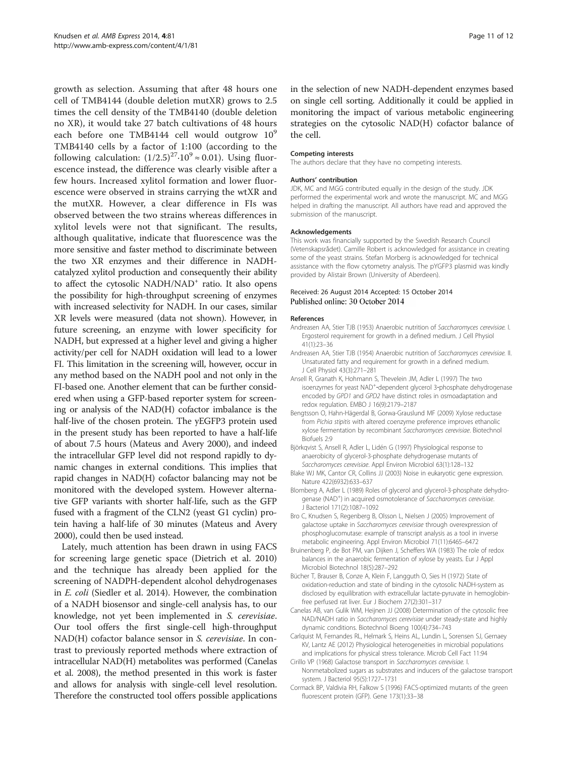<span id="page-10-0"></span>growth as selection. Assuming that after 48 hours one cell of TMB4144 (double deletion mutXR) grows to 2.5 times the cell density of the TMB4140 (double deletion no XR), it would take 27 batch cultivations of 48 hours each before one TMB4144 cell would outgrow 10<sup>9</sup> TMB4140 cells by a factor of 1:100 (according to the following calculation:  $(1/2.5)^{27} \cdot 10^9 \approx 0.01$ ). Using fluorescence instead, the difference was clearly visible after a few hours. Increased xylitol formation and lower fluorescence were observed in strains carrying the wtXR and the mutXR. However, a clear difference in FIs was observed between the two strains whereas differences in xylitol levels were not that significant. The results, although qualitative, indicate that fluorescence was the more sensitive and faster method to discriminate between the two XR enzymes and their difference in NADHcatalyzed xylitol production and consequently their ability to affect the cytosolic NADH/NAD<sup>+</sup> ratio. It also opens the possibility for high-throughput screening of enzymes with increased selectivity for NADH. In our cases, similar XR levels were measured (data not shown). However, in future screening, an enzyme with lower specificity for NADH, but expressed at a higher level and giving a higher activity/per cell for NADH oxidation will lead to a lower FI. This limitation in the screening will, however, occur in any method based on the NADH pool and not only in the FI-based one. Another element that can be further considered when using a GFP-based reporter system for screening or analysis of the NAD(H) cofactor imbalance is the half-live of the chosen protein. The yEGFP3 protein used in the present study has been reported to have a half-life of about 7.5 hours (Mateus and Avery [2000\)](#page-11-0), and indeed the intracellular GFP level did not respond rapidly to dynamic changes in external conditions. This implies that rapid changes in NAD(H) cofactor balancing may not be monitored with the developed system. However alternative GFP variants with shorter half-life, such as the GFP fused with a fragment of the CLN2 (yeast G1 cyclin) protein having a half-life of 30 minutes (Mateus and Avery [2000\)](#page-11-0), could then be used instead.

Lately, much attention has been drawn in using FACS for screening large genetic space (Dietrich et al. [2010](#page-11-0)) and the technique has already been applied for the screening of NADPH-dependent alcohol dehydrogenases in E. coli (Siedler et al. [2014](#page-11-0)). However, the combination of a NADH biosensor and single-cell analysis has, to our knowledge, not yet been implemented in S. cerevisiae. Our tool offers the first single-cell high-throughput NAD(H) cofactor balance sensor in S. cerevisiae. In contrast to previously reported methods where extraction of intracellular NAD(H) metabolites was performed (Canelas et al. 2008), the method presented in this work is faster and allows for analysis with single-cell level resolution. Therefore the constructed tool offers possible applications

in the selection of new NADH-dependent enzymes based on single cell sorting. Additionally it could be applied in monitoring the impact of various metabolic engineering strategies on the cytosolic NAD(H) cofactor balance of the cell.

#### Competing interests

The authors declare that they have no competing interests.

#### Authors' contribution

JDK, MC and MGG contributed equally in the design of the study. JDK performed the experimental work and wrote the manuscript. MC and MGG helped in drafting the manuscript. All authors have read and approved the submission of the manuscript.

#### Acknowledgements

This work was financially supported by the Swedish Research Council (Vetenskapsrådet). Camille Robert is acknowledged for assistance in creating some of the yeast strains. Stefan Morberg is acknowledged for technical assistance with the flow cytometry analysis. The pYGFP3 plasmid was kindly provided by Alistair Brown (University of Aberdeen).

#### Received: 26 August 2014 Accepted: 15 October 2014 Published online: 30 October 2014

#### References

- Andreasen AA, Stier TJB (1953) Anaerobic nutrition of Saccharomyces cerevisiae. I. Ergosterol requirement for growth in a defined medium. J Cell Physiol 41(1):23–36
- Andreasen AA, Stier TJB (1954) Anaerobic nutrition of Saccharomyces cerevisiae. II. Unsaturated fatty and requirement for growth in a defined medium. J Cell Physiol 43(3):271–281
- Ansell R, Granath K, Hohmann S, Thevelein JM, Adler L (1997) The two isoenzymes for yeast NAD<sup>+</sup>-dependent glycerol 3-phosphate dehydrogenase encoded by GPD1 and GPD2 have distinct roles in osmoadaptation and redox regulation. EMBO J 16(9):2179–2187
- Bengtsson O, Hahn-Hägerdal B, Gorwa-Grauslund MF (2009) Xylose reductase from Pichia stipitis with altered coenzyme preference improves ethanolic xylose fermentation by recombinant Saccharomyces cerevisiae. Biotechnol Biofuels 2:9
- Björkqvist S, Ansell R, Adler L, Lidén G (1997) Physiological response to anaerobicity of glycerol-3-phosphate dehydrogenase mutants of Saccharomyces cerevisiae. Appl Environ Microbiol 63(1):128–132
- Blake WJ MK, Cantor CR, Collins JJ (2003) Noise in eukaryotic gene expression. Nature 422(6932):633–637
- Blomberg A, Adler L (1989) Roles of glycerol and glycerol-3-phosphate dehydrogenase (NAD<sup>+</sup>) in acquired osmotolerance of Saccharomyces cerevisiae J Bacteriol 171(2):1087–1092
- Bro C, Knudsen S, Regenberg B, Olsson L, Nielsen J (2005) Improvement of galactose uptake in Saccharomyces cerevisiae through overexpression of phosphoglucomutase: example of transcript analysis as a tool in inverse metabolic engineering. Appl Environ Microbiol 71(11):6465–6472
- Bruinenberg P, de Bot PM, van Dijken J, Scheffers WA (1983) The role of redox balances in the anaerobic fermentation of xylose by yeasts. Eur J Appl Microbiol Biotechnol 18(5):287–292
- Bücher T, Brauser B, Conze A, Klein F, Langguth O, Sies H (1972) State of oxidation-reduction and state of binding in the cytosolic NADH-system as disclosed by equilibration with extracellular lactate-pyruvate in hemoglobinfree perfused rat liver. Eur J Biochem 27(2):301–317
- Canelas AB, van Gulik WM, Heijnen JJ (2008) Determination of the cytosolic free NAD/NADH ratio in Saccharomyces cerevisiae under steady-state and highly dynamic conditions. Biotechnol Bioeng 100(4):734–743
- Carlquist M, Fernandes RL, Helmark S, Heins AL, Lundin L, Sorensen SJ, Gernaey KV, Lantz AE (2012) Physiological heterogeneities in microbial populations and implications for physical stress tolerance. Microb Cell Fact 11:94
- Cirillo VP (1968) Galactose transport in Saccharomyces cerevisiae. I. Nonmetabolized sugars as substrates and inducers of the galactose transport system. J Bacteriol 95(5):1727–1731
- Cormack BP, Valdivia RH, Falkow S (1996) FACS-optimized mutants of the green fluorescent protein (GFP). Gene 173(1):33–38